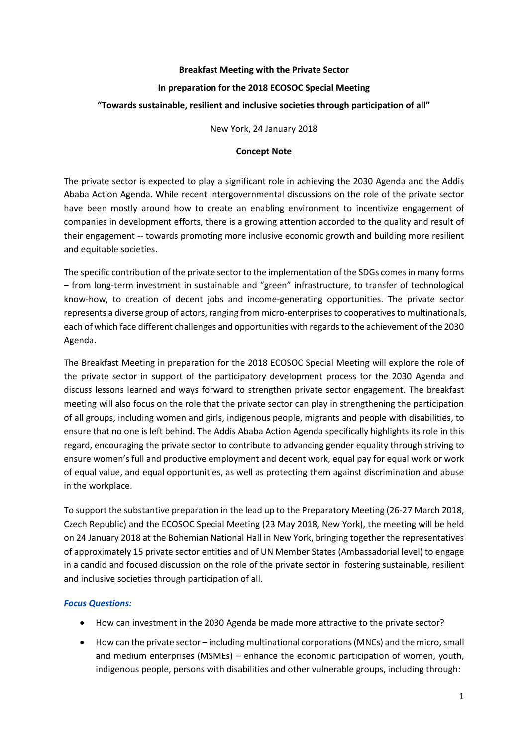### **Breakfast Meeting with the Private Sector**

## **In preparation for the 2018 ECOSOC Special Meeting**

## **"Towards sustainable, resilient and inclusive societies through participation of all"**

New York, 24 January 2018

### **Concept Note**

The private sector is expected to play a significant role in achieving the 2030 Agenda and the Addis Ababa Action Agenda. While recent intergovernmental discussions on the role of the private sector have been mostly around how to create an enabling environment to incentivize engagement of companies in development efforts, there is a growing attention accorded to the quality and result of their engagement -- towards promoting more inclusive economic growth and building more resilient and equitable societies.

The specific contribution of the private sector to the implementation of the SDGs comesin many forms – from long-term investment in sustainable and "green" infrastructure, to transfer of technological know-how, to creation of decent jobs and income-generating opportunities. The private sector represents a diverse group of actors, ranging from micro-enterprises to cooperatives to multinationals, each of which face different challenges and opportunities with regards to the achievement of the 2030 Agenda.

The Breakfast Meeting in preparation for the 2018 ECOSOC Special Meeting will explore the role of the private sector in support of the participatory development process for the 2030 Agenda and discuss lessons learned and ways forward to strengthen private sector engagement. The breakfast meeting will also focus on the role that the private sector can play in strengthening the participation of all groups, including women and girls, indigenous people, migrants and people with disabilities, to ensure that no one is left behind. The Addis Ababa Action Agenda specifically highlights its role in this regard, encouraging the private sector to contribute to advancing gender equality through striving to ensure women's full and productive employment and decent work, equal pay for equal work or work of equal value, and equal opportunities, as well as protecting them against discrimination and abuse in the workplace.

To support the substantive preparation in the lead up to the Preparatory Meeting (26-27 March 2018, Czech Republic) and the ECOSOC Special Meeting (23 May 2018, New York), the meeting will be held on 24 January 2018 at the Bohemian National Hall in New York, bringing together the representatives of approximately 15 private sector entities and of UN Member States (Ambassadorial level) to engage in a candid and focused discussion on the role of the private sector in fostering sustainable, resilient and inclusive societies through participation of all.

# *Focus Questions:*

- How can investment in the 2030 Agenda be made more attractive to the private sector?
- How can the private sector including multinational corporations (MNCs) and the micro, small and medium enterprises (MSMEs) – enhance the economic participation of women, youth, indigenous people, persons with disabilities and other vulnerable groups, including through: